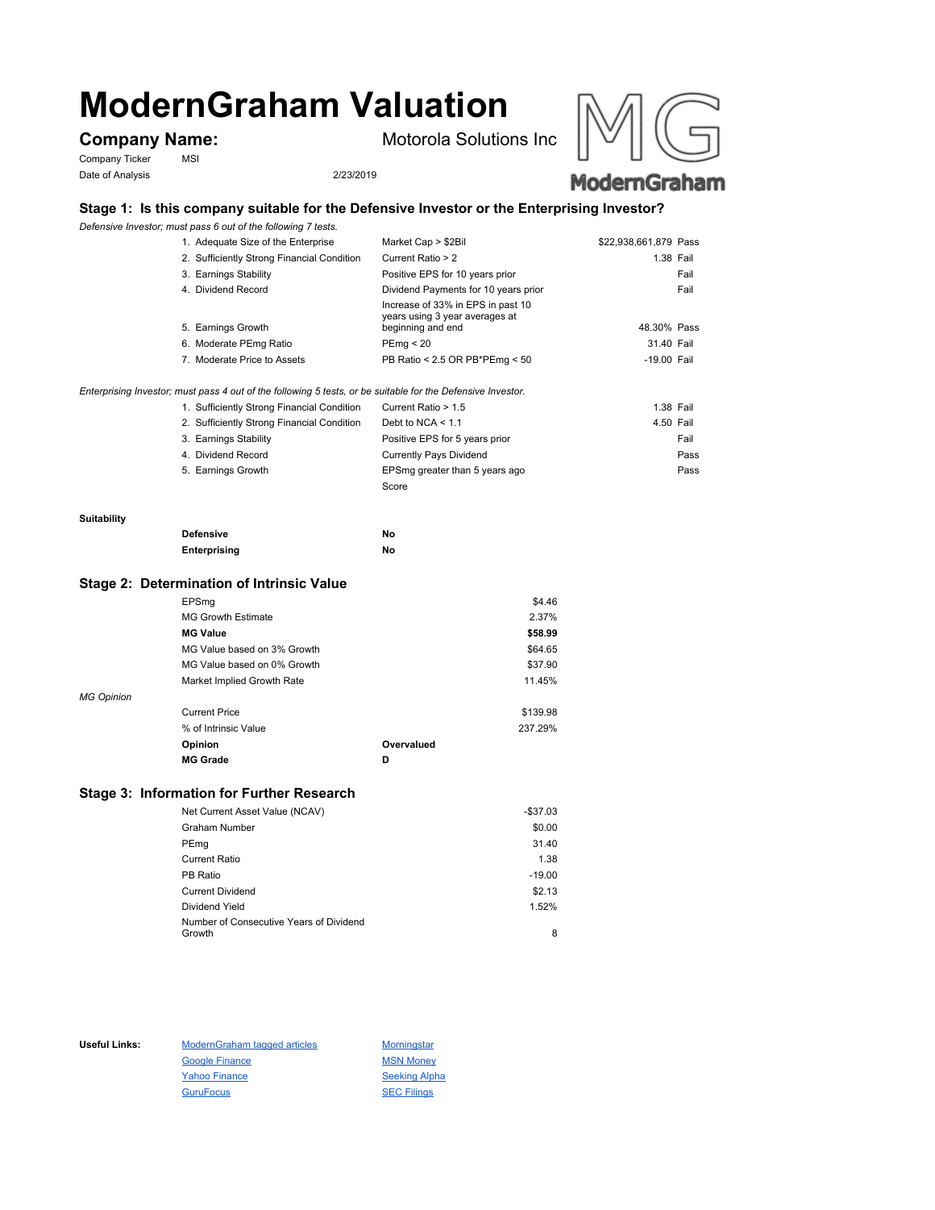# **ModernGraham Valuation**

Company Ticker MSI Date of Analysis 2/23/2019

**Company Name:** Motorola Solutions Inc





# **Stage 1: Is this company suitable for the Defensive Investor or the Enterprising Investor?**

*Defensive Investor; must pass 6 out of the following 7 tests.*

| 1. Adequate Size of the Enterprise         | Market Cap > \$2Bil                                                                      | \$22,938,661,879 Pass |
|--------------------------------------------|------------------------------------------------------------------------------------------|-----------------------|
| 2. Sufficiently Strong Financial Condition | Current Ratio > 2                                                                        | 1.38 Fail             |
| 3. Earnings Stability                      | Positive EPS for 10 years prior                                                          | Fail                  |
| 4. Dividend Record                         | Dividend Payments for 10 years prior                                                     | Fail                  |
| 5. Earnings Growth                         | Increase of 33% in EPS in past 10<br>years using 3 year averages at<br>beginning and end | 48.30% Pass           |
| 6. Moderate PEmg Ratio                     | PEmg < 20                                                                                | 31.40 Fail            |
| 7. Moderate Price to Assets                | PB Ratio < 2.5 OR PB*PEmg < 50                                                           | -19.00 Fail           |
|                                            |                                                                                          |                       |

### *Enterprising Investor; must pass 4 out of the following 5 tests, or be suitable for the Defensive Investor.*

| 1. Sufficiently Strong Financial Condition | Current Ratio > 1.5            | 1.38 Fail |      |
|--------------------------------------------|--------------------------------|-----------|------|
| 2. Sufficiently Strong Financial Condition | Debt to NCA $<$ 1.1            | 4.50 Fail |      |
| 3. Earnings Stability                      | Positive EPS for 5 years prior |           | Fail |
| 4. Dividend Record                         | <b>Currently Pays Dividend</b> |           | Pass |
| 5. Earnings Growth                         | EPSmg greater than 5 years ago |           | Pass |
|                                            | Score                          |           |      |

#### **Suitability**

| <b>Defensive</b> | Νo |
|------------------|----|
| Enterprising     | Νo |

# **Stage 2: Determination of Intrinsic Value**

|                   | <b>MG Grade</b>             | D          |          |
|-------------------|-----------------------------|------------|----------|
|                   | Opinion                     | Overvalued |          |
|                   | % of Intrinsic Value        |            | 237.29%  |
|                   | <b>Current Price</b>        |            | \$139.98 |
| <b>MG Opinion</b> |                             |            |          |
|                   | Market Implied Growth Rate  |            | 11.45%   |
|                   | MG Value based on 0% Growth |            | \$37.90  |
|                   | MG Value based on 3% Growth |            | \$64.65  |
|                   | <b>MG Value</b>             |            | \$58.99  |
|                   | <b>MG Growth Estimate</b>   |            | 2.37%    |
|                   | EPSmg                       |            | \$4.46   |

# **Stage 3: Information for Further Research**

| Net Current Asset Value (NCAV)          | $-$37.03$ |
|-----------------------------------------|-----------|
| Graham Number                           | \$0.00    |
| PEmg                                    | 31.40     |
| Current Ratio                           | 1.38      |
| PB Ratio                                | $-19.00$  |
| <b>Current Dividend</b>                 | \$2.13    |
| Dividend Yield                          | 1.52%     |
| Number of Consecutive Years of Dividend |           |
| Growth                                  | 8         |

Useful Links: ModernGraham tagged articles Morningstar Google Finance MSN Money Yahoo Finance Seeking Alpha GuruFocus SEC Filings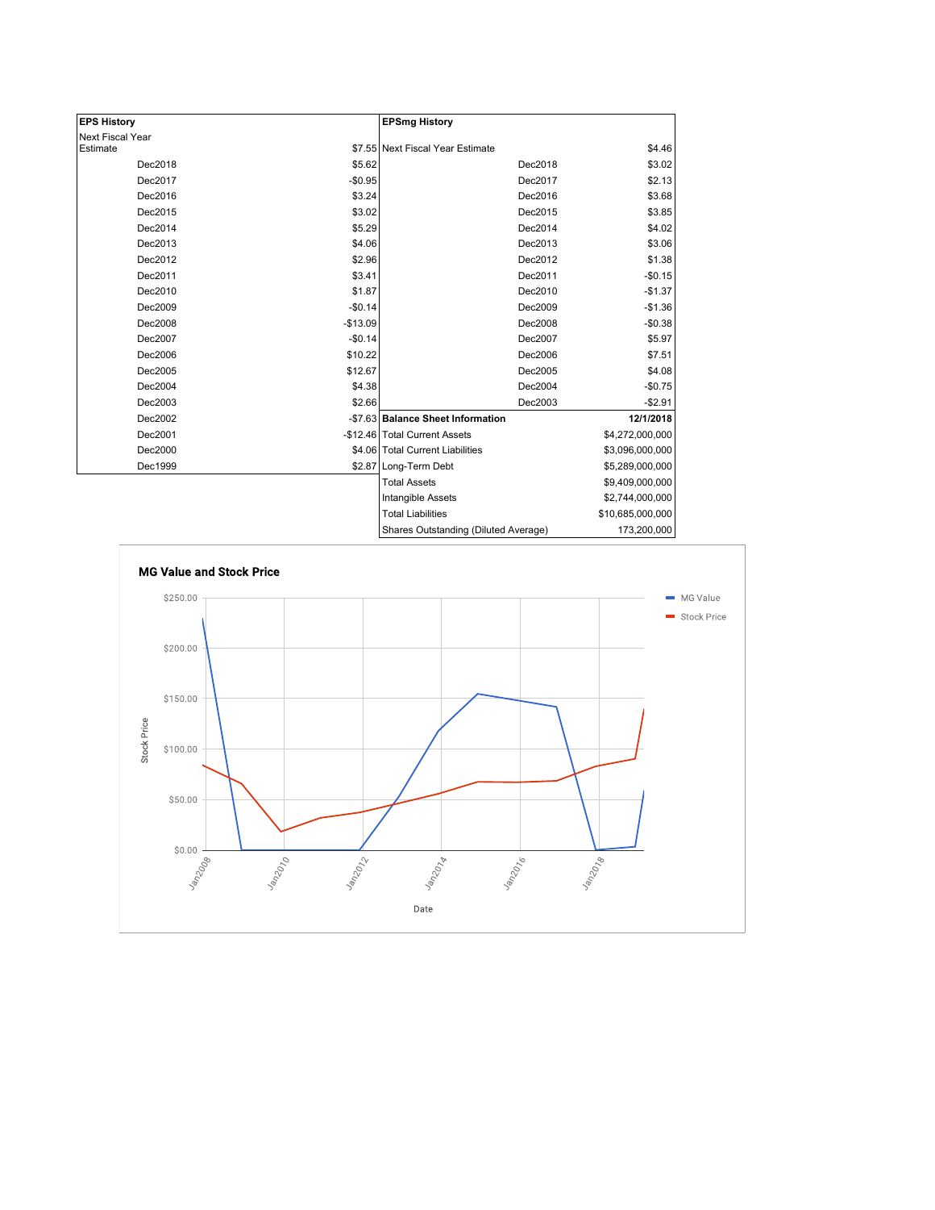| <b>EPS History</b> |           | <b>EPSmg History</b>                 |                  |
|--------------------|-----------|--------------------------------------|------------------|
| Next Fiscal Year   |           |                                      |                  |
| Estimate           |           | \$7.55 Next Fiscal Year Estimate     | \$4.46           |
| Dec2018            | \$5.62    | Dec2018                              | \$3.02           |
| Dec2017            | $-$0.95$  | Dec2017                              | \$2.13           |
| Dec2016            | \$3.24    | Dec2016                              | \$3.68           |
| Dec2015            | \$3.02    | Dec2015                              | \$3.85           |
| Dec2014            | \$5.29    | Dec2014                              | \$4.02           |
| Dec2013            | \$4.06    | Dec2013                              | \$3.06           |
| Dec2012            | \$2.96    | Dec2012                              | \$1.38           |
| Dec2011            | \$3.41    | Dec2011                              | $-$0.15$         |
| Dec2010            | \$1.87    | Dec2010                              | $-$1.37$         |
| Dec2009            | $-$0.14$  | Dec2009                              | $-$1.36$         |
| Dec2008            | $-$13.09$ | Dec2008                              | $-$0.38$         |
| Dec2007            | $-$0.14$  | Dec2007                              | \$5.97           |
| Dec2006            | \$10.22   | Dec2006                              | \$7.51           |
| Dec2005            | \$12.67   | Dec2005                              | \$4.08           |
| Dec2004            | \$4.38    | Dec2004                              | $-$0.75$         |
| Dec2003            | \$2.66    | Dec2003                              | $-$2.91$         |
| Dec2002            |           | -\$7.63 Balance Sheet Information    | 12/1/2018        |
| Dec2001            |           | -\$12.46 Total Current Assets        | \$4,272,000,000  |
| Dec2000            |           | \$4.06 Total Current Liabilities     | \$3,096,000,000  |
| Dec1999            |           | \$2.87 Long-Term Debt                | \$5,289,000,000  |
|                    |           | <b>Total Assets</b>                  | \$9,409,000,000  |
|                    |           | Intangible Assets                    | \$2,744,000,000  |
|                    |           | <b>Total Liabilities</b>             | \$10,685,000,000 |
|                    |           | Charge Qutetanding (Diluted Average) | 172.200.000      |